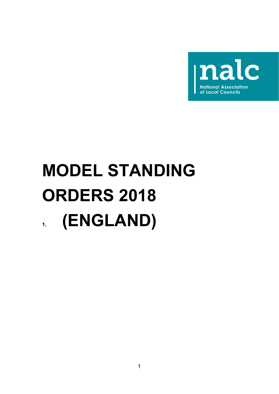

# **MODEL STANDING ORDERS 2018 1. (ENGLAND)**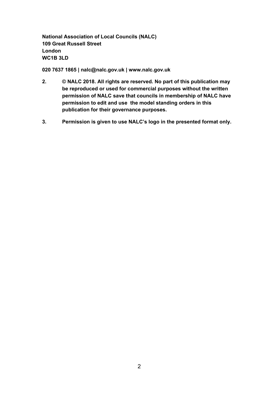**National Association of Local Councils (NALC) 109 Great Russell Street London WC1B 3LD**

**020 7637 1865 | nalc@nalc.gov.uk | www.nalc.gov.uk**

- **2. © NALC 2018. All rights are reserved. No part of this publication may be reproduced or used for commercial purposes without the written permission of NALC save that councils in membership of NALC have permission to edit and use the model standing orders in this publication for their governance purposes.**
- **3. Permission is given to use NALC's logo in the presented format only.**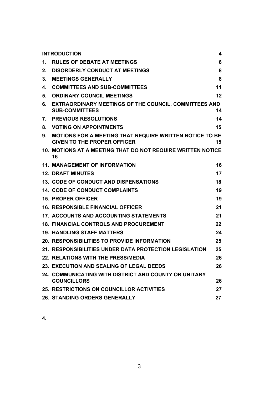<span id="page-2-0"></span>

| <b>INTRODUCTION</b>                                                         | 4                                                                                                                                                                                      |
|-----------------------------------------------------------------------------|----------------------------------------------------------------------------------------------------------------------------------------------------------------------------------------|
| <b>RULES OF DEBATE AT MEETINGS</b>                                          | 6                                                                                                                                                                                      |
| <b>DISORDERLY CONDUCT AT MEETINGS</b>                                       | 8                                                                                                                                                                                      |
| <b>MEETINGS GENERALLY</b>                                                   | 8                                                                                                                                                                                      |
| <b>COMMITTEES AND SUB-COMMITTEES</b>                                        | 11                                                                                                                                                                                     |
| <b>ORDINARY COUNCIL MEETINGS</b>                                            | 12                                                                                                                                                                                     |
| <b>SUB-COMMITTEES</b>                                                       | 14                                                                                                                                                                                     |
| <b>PREVIOUS RESOLUTIONS</b>                                                 | 14                                                                                                                                                                                     |
| <b>VOTING ON APPOINTMENTS</b>                                               | 15                                                                                                                                                                                     |
| <b>GIVEN TO THE PROPER OFFICER</b>                                          | 15                                                                                                                                                                                     |
| 16                                                                          |                                                                                                                                                                                        |
| <b>11. MANAGEMENT OF INFORMATION</b>                                        | 16                                                                                                                                                                                     |
| <b>12. DRAFT MINUTES</b>                                                    | 17                                                                                                                                                                                     |
| <b>13. CODE OF CONDUCT AND DISPENSATIONS</b>                                | 18                                                                                                                                                                                     |
| <b>14. CODE OF CONDUCT COMPLAINTS</b>                                       | 19                                                                                                                                                                                     |
| <b>15. PROPER OFFICER</b>                                                   | 19                                                                                                                                                                                     |
| <b>16. RESPONSIBLE FINANCIAL OFFICER</b>                                    | 21                                                                                                                                                                                     |
| <b>17. ACCOUNTS AND ACCOUNTING STATEMENTS</b>                               | 21                                                                                                                                                                                     |
| <b>18. FINANCIAL CONTROLS AND PROCUREMENT</b>                               | 22                                                                                                                                                                                     |
| <b>19. HANDLING STAFF MATTERS</b>                                           | 24                                                                                                                                                                                     |
| <b>20. RESPONSIBILITIES TO PROVIDE INFORMATION</b>                          | 25                                                                                                                                                                                     |
| 21. RESPONSIBILITIES UNDER DATA PROTECTION LEGISLATION                      | 25                                                                                                                                                                                     |
| <b>22. RELATIONS WITH THE PRESS/MEDIA</b>                                   | 26                                                                                                                                                                                     |
| 23. EXECUTION AND SEALING OF LEGAL DEEDS                                    | 26                                                                                                                                                                                     |
| 24. COMMUNICATING WITH DISTRICT AND COUNTY OR UNITARY<br><b>COUNCILLORS</b> | 26                                                                                                                                                                                     |
| <b>25. RESTRICTIONS ON COUNCILLOR ACTIVITIES</b>                            | 27                                                                                                                                                                                     |
| <b>26. STANDING ORDERS GENERALLY</b>                                        | 27                                                                                                                                                                                     |
|                                                                             | EXTRAORDINARY MEETINGS OF THE COUNCIL, COMMITTEES AND<br><b>MOTIONS FOR A MEETING THAT REQUIRE WRITTEN NOTICE TO BE</b><br>10. MOTIONS AT A MEETING THAT DO NOT REQUIRE WRITTEN NOTICE |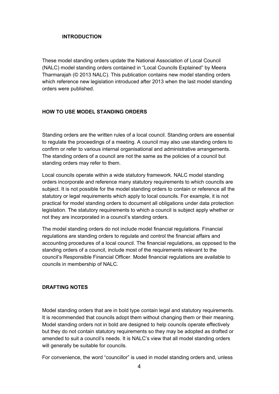#### **INTRODUCTION**

These model standing orders update the National Association of Local Council (NALC) model standing orders contained in "Local Councils Explained" by Meera Tharmarajah (© 2013 NALC). This publication contains new model standing orders which reference new legislation introduced after 2013 when the last model standing orders were published.

## **HOW TO USE MODEL STANDING ORDERS**

Standing orders are the written rules of a local council. Standing orders are essential to regulate the proceedings of a meeting. A council may also use standing orders to confirm or refer to various internal organisational and administrative arrangements. The standing orders of a council are not the same as the policies of a council but standing orders may refer to them.

Local councils operate within a wide statutory framework. NALC model standing orders incorporate and reference many statutory requirements to which councils are subject. It is not possible for the model standing orders to contain or reference all the statutory or legal requirements which apply to local councils. For example, it is not practical for model standing orders to document all obligations under data protection legislation. The statutory requirements to which a council is subject apply whether or not they are incorporated in a council's standing orders.

The model standing orders do not include model financial regulations. Financial regulations are standing orders to regulate and control the financial affairs and accounting procedures of a local council. The financial regulations, as opposed to the standing orders of a council, include most of the requirements relevant to the council's Responsible Financial Officer. Model financial regulations are available to councils in membership of NALC.

#### **DRAFTING NOTES**

Model standing orders that are in bold type contain legal and statutory requirements. It is recommended that councils adopt them without changing them or their meaning. Model standing orders not in bold are designed to help councils operate effectively but they do not contain statutory requirements so they may be adopted as drafted or amended to suit a council's needs. It is NALC's view that all model standing orders will generally be suitable for councils.

For convenience, the word "councillor" is used in model standing orders and, unless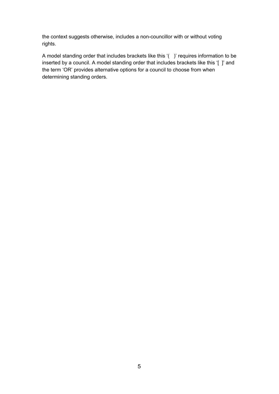the context suggests otherwise, includes a non-councillor with or without voting rights.

A model standing order that includes brackets like this '( )' requires information to be inserted by a council. A model standing order that includes brackets like this '[ ]' and the term 'OR' provides alternative options for a council to choose from when determining standing orders.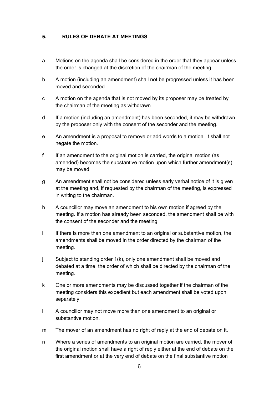## <span id="page-5-0"></span>**5. RULES OF DEBATE AT MEETINGS**

- a Motions on the agenda shall be considered in the order that they appear unless the order is changed at the discretion of the chairman of the meeting.
- b A motion (including an amendment) shall not be progressed unless it has been moved and seconded.
- c A motion on the agenda that is not moved by its proposer may be treated by the chairman of the meeting as withdrawn.
- d If a motion (including an amendment) has been seconded, it may be withdrawn by the proposer only with the consent of the seconder and the meeting.
- e An amendment is a proposal to remove or add words to a motion. It shall not negate the motion.
- f If an amendment to the original motion is carried, the original motion (as amended) becomes the substantive motion upon which further amendment(s) may be moved.
- g An amendment shall not be considered unless early verbal notice of it is given at the meeting and, if requested by the chairman of the meeting, is expressed in writing to the chairman.
- h A councillor may move an amendment to his own motion if agreed by the meeting. If a motion has already been seconded, the amendment shall be with the consent of the seconder and the meeting.
- i If there is more than one amendment to an original or substantive motion, the amendments shall be moved in the order directed by the chairman of the meeting.
- j Subject to standing order 1(k), only one amendment shall be moved and debated at a time, the order of which shall be directed by the chairman of the meeting.
- k One or more amendments may be discussed together if the chairman of the meeting considers this expedient but each amendment shall be voted upon separately.
- l A councillor may not move more than one amendment to an original or substantive motion.
- m The mover of an amendment has no right of reply at the end of debate on it.
- n Where a series of amendments to an original motion are carried, the mover of the original motion shall have a right of reply either at the end of debate on the first amendment or at the very end of debate on the final substantive motion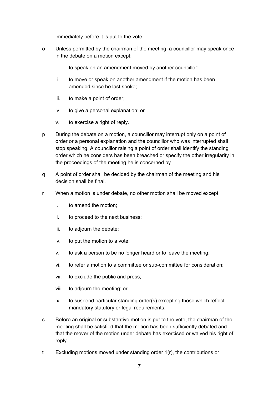immediately before it is put to the vote.

- o Unless permitted by the chairman of the meeting, a councillor may speak once in the debate on a motion except:
	- i. to speak on an amendment moved by another councillor;
	- ii. to move or speak on another amendment if the motion has been amended since he last spoke;
	- iii. to make a point of order;
	- iv. to give a personal explanation; or
	- v. to exercise a right of reply.
- p During the debate on a motion, a councillor may interrupt only on a point of order or a personal explanation and the councillor who was interrupted shall stop speaking. A councillor raising a point of order shall identify the standing order which he considers has been breached or specify the other irregularity in the proceedings of the meeting he is concerned by.
- q A point of order shall be decided by the chairman of the meeting and his decision shall be final.
- r When a motion is under debate, no other motion shall be moved except:
	- i. to amend the motion;
	- ii. to proceed to the next business;
	- iii. to adjourn the debate;
	- iv. to put the motion to a vote;
	- v. to ask a person to be no longer heard or to leave the meeting;
	- vi. to refer a motion to a committee or sub-committee for consideration;
	- vii. to exclude the public and press;
	- viii. to adjourn the meeting; or
	- ix. to suspend particular standing order(s) excepting those which reflect mandatory statutory or legal requirements.
- s Before an original or substantive motion is put to the vote, the chairman of the meeting shall be satisfied that the motion has been sufficiently debated and that the mover of the motion under debate has exercised or waived his right of reply.
- t Excluding motions moved under standing order 1(r), the contributions or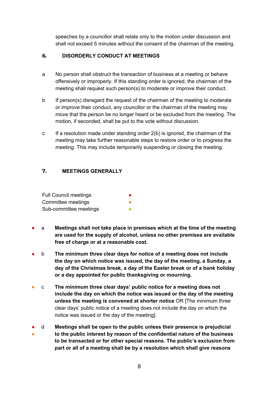speeches by a councillor shall relate only to the motion under discussion and shall not exceed 5 minutes without the consent of the chairman of the meeting.

# <span id="page-7-0"></span>**6. DISORDERLY CONDUCT AT MEETINGS**

- a No person shall obstruct the transaction of business at a meeting or behave offensively or improperly. If this standing order is ignored, the chairman of the meeting shall request such person(s) to moderate or improve their conduct.
- b If person(s) disregard the request of the chairman of the meeting to moderate or improve their conduct, any councillor or the chairman of the meeting may move that the person be no longer heard or be excluded from the meeting. The motion, if seconded, shall be put to the vote without discussion.
- c If a resolution made under standing order 2(b) is ignored, the chairman of the meeting may take further reasonable steps to restore order or to progress the meeting. This may include temporarily suspending or closing the meeting.

# <span id="page-7-1"></span>**7. MEETINGS GENERALLY**

| <b>Full Council meetings</b> |  |
|------------------------------|--|
| Committee meetings           |  |
| Sub-committee meetings       |  |

- a **Meetings shall not take place in premises which at the time of the meeting are used for the supply of alcohol, unless no other premises are available free of charge or at a reasonable cost.**
- b **The minimum three clear days for notice of a meeting does not include the day on which notice was issued, the day of the meeting, a Sunday, a day of the Christmas break, a day of the Easter break or of a bank holiday or a day appointed for public thanksgiving or mourning.**
- c **The minimum three clear days' public notice for a meeting does not include the day on which the notice was issued or the day of the meeting unless the meeting is convened at shorter notice** OR [The minimum three clear days' public notice of a meeting does not include the day on which the notice was issued or the day of the meeting].
- ● d **Meetings shall be open to the public unless their presence is prejudicial to the public interest by reason of the confidential nature of the business to be transacted or for other special reasons. The public's exclusion from part or all of a meeting shall be by a resolution which shall give reasons**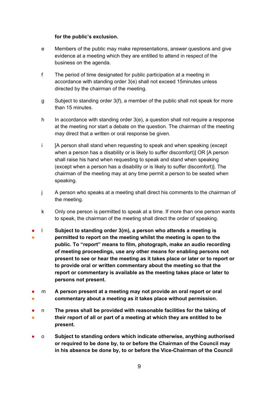#### **for the public's exclusion.**

- e Members of the public may make representations, answer questions and give evidence at a meeting which they are entitled to attend in respect of the business on the agenda.
- f The period of time designated for public participation at a meeting in accordance with standing order 3(e) shall not exceed 15minutes unless directed by the chairman of the meeting.
- g Subject to standing order 3(f), a member of the public shall not speak for more than 15 minutes.
- h In accordance with standing order 3(e), a question shall not require a response at the meeting nor start a debate on the question. The chairman of the meeting may direct that a written or oral response be given.
- i [A person shall stand when requesting to speak and when speaking (except when a person has a disability or is likely to suffer discomfort)] OR [A person shall raise his hand when requesting to speak and stand when speaking (except when a person has a disability or is likely to suffer discomfort)]. The chairman of the meeting may at any time permit a person to be seated when speaking.
- j A person who speaks at a meeting shall direct his comments to the chairman of the meeting.
- k Only one person is permitted to speak at a time. If more than one person wants to speak, the chairman of the meeting shall direct the order of speaking.
- ● l **Subject to standing order 3(m), a person who attends a meeting is permitted to report on the meeting whilst the meeting is open to the public. To "report" means to film, photograph, make an audio recording of meeting proceedings, use any other means for enabling persons not present to see or hear the meeting as it takes place or later or to report or to provide oral or written commentary about the meeting so that the report or commentary is available as the meeting takes place or later to persons not present.**
- ● m **A person present at a meeting may not provide an oral report or oral commentary about a meeting as it takes place without permission.**
- ● n **The press shall be provided with reasonable facilities for the taking of their report of all or part of a meeting at which they are entitled to be present.**
- o **Subject to standing orders which indicate otherwise, anything authorised or required to be done by, to or before the Chairman of the Council may in his absence be done by, to or before the Vice-Chairman of the Council**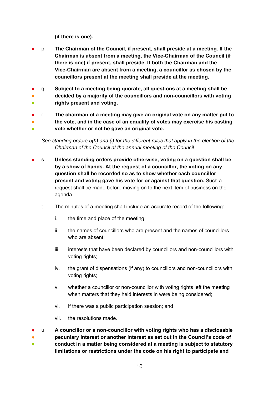**(if there is one).**

- p **The Chairman of the Council, if present, shall preside at a meeting. If the Chairman is absent from a meeting, the Vice-Chairman of the Council (if there is one) if present, shall preside. If both the Chairman and the Vice-Chairman are absent from a meeting, a councillor as chosen by the councillors present at the meeting shall preside at the meeting.**
- q **Subject to a meeting being quorate, all questions at a meeting shall be**
- ● **decided by a majority of the councillors and non-councillors with voting rights present and voting.**
- r **The chairman of a meeting may give an original vote on any matter put to**
- **the vote, and in the case of an equality of votes may exercise his casting**
- **vote whether or not he gave an original vote.**

*See standing orders 5(h) and (i) for the different rules that apply in the election of the Chairman of the Council at the annual meeting of the Council.*

- s **Unless standing orders provide otherwise, voting on a question shall be by a show of hands. At the request of a councillor, the voting on any question shall be recorded so as to show whether each councillor present and voting gave his vote for or against that question.** Such a request shall be made before moving on to the next item of business on the agenda.
	- t The minutes of a meeting shall include an accurate record of the following:
		- i. the time and place of the meeting;
		- ii. the names of councillors who are present and the names of councillors who are absent;
		- iii. interests that have been declared by councillors and non-councillors with voting rights;
		- iv. the grant of dispensations (if any) to councillors and non-councillors with voting rights;
		- v. whether a councillor or non-councillor with voting rights left the meeting when matters that they held interests in were being considered;
		- vi. if there was a public participation session; and
		- vii. the resolutions made.

● ● ● u **A councillor or a non-councillor with voting rights who has a disclosable pecuniary interest or another interest as set out in the Council's code of conduct in a matter being considered at a meeting is subject to statutory**

**limitations or restrictions under the code on his right to participate and**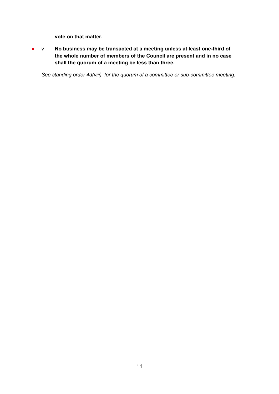**vote on that matter.**

● v **No business may be transacted at a meeting unless at least one-third of the whole number of members of the Council are present and in no case shall the quorum of a meeting be less than three.**

*See standing order 4d(viii) for the quorum of a committee or sub-committee meeting.*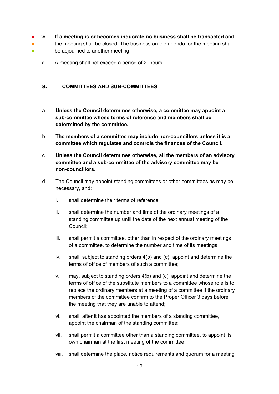- w **If a meeting is or becomes inquorate no business shall be transacted** and
- the meeting shall be closed. The business on the agenda for the meeting shall
- be adjourned to another meeting.
	- x A meeting shall not exceed a period of 2 hours.

## <span id="page-11-0"></span>**8. COMMITTEES AND SUB-COMMITTEES**

- a **Unless the Council determines otherwise, a committee may appoint a sub-committee whose terms of reference and members shall be determined by the committee.**
- b **The members of a committee may include non-councillors unless it is a committee which regulates and controls the finances of the Council.**
- c **Unless the Council determines otherwise, all the members of an advisory committee and a sub-committee of the advisory committee may be non-councillors.**
- d The Council may appoint standing committees or other committees as may be necessary, and:
	- i. shall determine their terms of reference;
	- ii. shall determine the number and time of the ordinary meetings of a standing committee up until the date of the next annual meeting of the Council;
	- iii. shall permit a committee, other than in respect of the ordinary meetings of a committee, to determine the number and time of its meetings;
	- iv. shall, subject to standing orders 4(b) and (c), appoint and determine the terms of office of members of such a committee;
	- v. may, subject to standing orders 4(b) and (c), appoint and determine the terms of office of the substitute members to a committee whose role is to replace the ordinary members at a meeting of a committee if the ordinary members of the committee confirm to the Proper Officer 3 days before the meeting that they are unable to attend;
	- vi. shall, after it has appointed the members of a standing committee, appoint the chairman of the standing committee;
	- vii. shall permit a committee other than a standing committee, to appoint its own chairman at the first meeting of the committee;
	- viii. shall determine the place, notice requirements and quorum for a meeting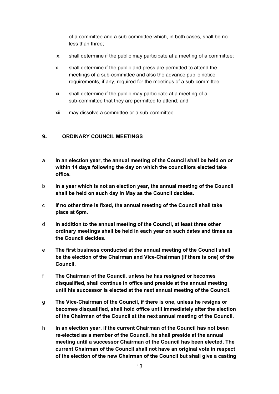of a committee and a sub-committee which, in both cases, shall be no less than three;

- ix. shall determine if the public may participate at a meeting of a committee;
- x. shall determine if the public and press are permitted to attend the meetings of a sub-committee and also the advance public notice requirements, if any, required for the meetings of a sub-committee;
- xi. shall determine if the public may participate at a meeting of a sub-committee that they are permitted to attend; and
- xii. may dissolve a committee or a sub-committee.

## <span id="page-12-0"></span>**9. ORDINARY COUNCIL MEETINGS**

- a **In an election year, the annual meeting of the Council shall be held on or within 14 days following the day on which the councillors elected take office.**
- b **In a year which is not an election year, the annual meeting of the Council shall be held on such day in May as the Council decides.**
- c **If no other time is fixed, the annual meeting of the Council shall take place at 6pm.**
- d **In addition to the annual meeting of the Council, at least three other ordinary meetings shall be held in each year on such dates and times as the Council decides.**
- e **The first business conducted at the annual meeting of the Council shall be the election of the Chairman and Vice-Chairman (if there is one) of the Council.**
- f **The Chairman of the Council, unless he has resigned or becomes disqualified, shall continue in office and preside at the annual meeting until his successor is elected at the next annual meeting of the Council.**
- g **The Vice-Chairman of the Council, if there is one, unless he resigns or becomes disqualified, shall hold office until immediately after the election of the Chairman of the Council at the next annual meeting of the Council.**
- h **In an election year, if the current Chairman of the Council has not been re-elected as a member of the Council, he shall preside at the annual meeting until a successor Chairman of the Council has been elected. The current Chairman of the Council shall not have an original vote in respect of the election of the new Chairman of the Council but shall give a casting**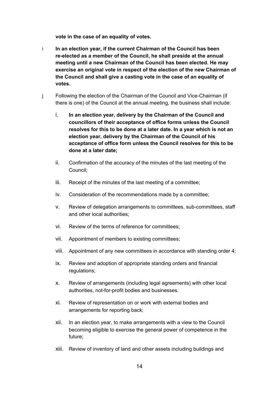**vote in the case of an equality of votes.**

- i **In an election year, if the current Chairman of the Council has been re-elected as a member of the Council, he shall preside at the annual meeting until a new Chairman of the Council has been elected. He may exercise an original vote in respect of the election of the new Chairman of the Council and shall give a casting vote in the case of an equality of votes.**
- j Following the election of the Chairman of the Council and Vice-Chairman (if there is one) of the Council at the annual meeting, the business shall include:
	- i. **In an election year, delivery by the Chairman of the Council and councillors of their acceptance of office forms unless the Council resolves for this to be done at a later date. In a year which is not an election year, delivery by the Chairman of the Council of his acceptance of office form unless the Council resolves for this to be done at a later date;**
	- ii. Confirmation of the accuracy of the minutes of the last meeting of the Council;
	- iii. Receipt of the minutes of the last meeting of a committee;
	- iv. Consideration of the recommendations made by a committee;
	- v. Review of delegation arrangements to committees, sub-committees, staff and other local authorities;
	- vi. Review of the terms of reference for committees;
	- vii. Appointment of members to existing committees;
	- viii. Appointment of any new committees in accordance with standing order 4;
	- ix. Review and adoption of appropriate standing orders and financial regulations;
	- x. Review of arrangements (including legal agreements) with other local authorities, not-for-profit bodies and businesses.
	- xi. Review of representation on or work with external bodies and arrangements for reporting back;
	- xii. In an election year, to make arrangements with a view to the Council becoming eligible to exercise the general power of competence in the future;
	- xiii. Review of inventory of land and other assets including buildings and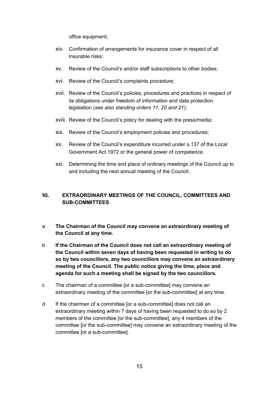office equipment;

- xiv. Confirmation of arrangements for insurance cover in respect of all insurable risks;
- xv. Review of the Council's and/or staff subscriptions to other bodies;
- xvi. Review of the Council's complaints procedure;
- xvii. Review of the Council's policies, procedures and practices in respect of its obligations under freedom of information and data protection legislation (*see also standing orders 11, 20 and 21*);
- xviii. Review of the Council's policy for dealing with the press/media;
- xix. Review of the Council's employment policies and procedures;
- xx. Review of the Council's expenditure incurred under s.137 of the Local Government Act 1972 or the general power of competence.
- xxi. Determining the time and place of ordinary meetings of the Council up to and including the next annual meeting of the Council.

# <span id="page-14-0"></span>**10. EXTRAORDINARY MEETINGS OF THE COUNCIL, COMMITTEES AND SUB-COMMITTEES**

- a **The Chairman of the Council may convene an extraordinary meeting of the Council at any time.**
- b **If the Chairman of the Council does not call an extraordinary meeting of the Council within seven days of having been requested in writing to do so by two councillors, any two councillors may convene an extraordinary meeting of the Council. The public notice giving the time, place and agenda for such a meeting shall be signed by the two councillors.**
- c The chairman of a committee [or a sub-committee] may convene an extraordinary meeting of the committee [or the sub-committee] at any time.
- d If the chairman of a committee [or a sub-committee] does not call an extraordinary meeting within 7 days of having been requested to do so by 2 members of the committee [or the sub-committee], any 4 members of the committee [or the sub-committee] may convene an extraordinary meeting of the committee [or a sub-committee].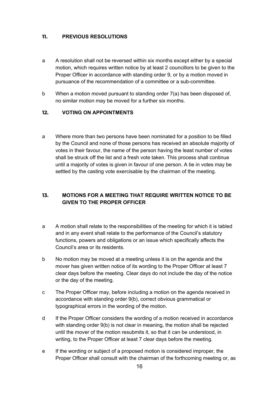## <span id="page-15-0"></span>**11. PREVIOUS RESOLUTIONS**

- a A resolution shall not be reversed within six months except either by a special motion, which requires written notice by at least 2 councillors to be given to the Proper Officer in accordance with standing order 9, or by a motion moved in pursuance of the recommendation of a committee or a sub-committee.
- b When a motion moved pursuant to standing order 7(a) has been disposed of, no similar motion may be moved for a further six months.

## <span id="page-15-1"></span>**12. VOTING ON APPOINTMENTS**

a Where more than two persons have been nominated for a position to be filled by the Council and none of those persons has received an absolute majority of votes in their favour, the name of the person having the least number of votes shall be struck off the list and a fresh vote taken. This process shall continue until a majority of votes is given in favour of one person. A tie in votes may be settled by the casting vote exercisable by the chairman of the meeting.

# <span id="page-15-2"></span>**13. MOTIONS FOR A MEETING THAT REQUIRE WRITTEN NOTICE TO BE GIVEN TO THE PROPER OFFICER**

- a A motion shall relate to the responsibilities of the meeting for which it is tabled and in any event shall relate to the performance of the Council's statutory functions, powers and obligations or an issue which specifically affects the Council's area or its residents.
- b No motion may be moved at a meeting unless it is on the agenda and the mover has given written notice of its wording to the Proper Officer at least 7 clear days before the meeting. Clear days do not include the day of the notice or the day of the meeting.
- c The Proper Officer may, before including a motion on the agenda received in accordance with standing order 9(b), correct obvious grammatical or typographical errors in the wording of the motion.
- d If the Proper Officer considers the wording of a motion received in accordance with standing order 9(b) is not clear in meaning, the motion shall be rejected until the mover of the motion resubmits it, so that it can be understood, in writing, to the Proper Officer at least 7 clear days before the meeting.
- e If the wording or subject of a proposed motion is considered improper, the Proper Officer shall consult with the chairman of the forthcoming meeting or, as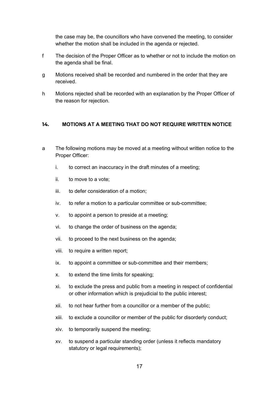the case may be, the councillors who have convened the meeting, to consider whether the motion shall be included in the agenda or rejected.

- f The decision of the Proper Officer as to whether or not to include the motion on the agenda shall be final.
- g Motions received shall be recorded and numbered in the order that they are received.
- h Motions rejected shall be recorded with an explanation by the Proper Officer of the reason for rejection.

## <span id="page-16-0"></span>**14. MOTIONS AT A MEETING THAT DO NOT REQUIRE WRITTEN NOTICE**

- a The following motions may be moved at a meeting without written notice to the Proper Officer:
	- i. to correct an inaccuracy in the draft minutes of a meeting;
	- ii. to move to a vote;
	- iii. to defer consideration of a motion;
	- iv. to refer a motion to a particular committee or sub-committee;
	- v. to appoint a person to preside at a meeting;
	- vi. to change the order of business on the agenda;
	- vii. to proceed to the next business on the agenda;
	- viii. to require a written report;
	- ix. to appoint a committee or sub-committee and their members;
	- x. to extend the time limits for speaking;
	- xi. to exclude the press and public from a meeting in respect of confidential or other information which is prejudicial to the public interest;
	- xii. to not hear further from a councillor or a member of the public;
	- xiii. to exclude a councillor or member of the public for disorderly conduct;
	- xiv. to temporarily suspend the meeting;
	- xv. to suspend a particular standing order (unless it reflects mandatory statutory or legal requirements);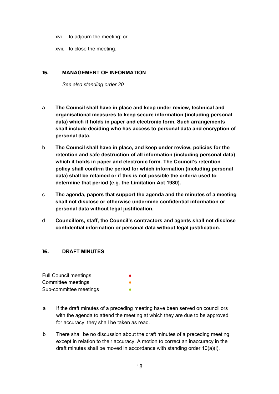- xvi. to adjourn the meeting; or
- xvii. to close the meeting.

#### <span id="page-17-0"></span>**15. MANAGEMENT OF INFORMATION**

*See also standing order 20.*

- a **The Council shall have in place and keep under review, technical and organisational measures to keep secure information (including personal data) which it holds in paper and electronic form. Such arrangements shall include deciding who has access to personal data and encryption of personal data.**
- b **The Council shall have in place, and keep under review, policies for the retention and safe destruction of all information (including personal data) which it holds in paper and electronic form. The Council's retention policy shall confirm the period for which information (including personal data) shall be retained or if this is not possible the criteria used to determine that period (e.g. the Limitation Act 1980).**
- c **The agenda, papers that support the agenda and the minutes of a meeting shall not disclose or otherwise undermine confidential information or personal data without legal justification.**
- d **Councillors, staff, the Council's contractors and agents shall not disclose confidential information or personal data without legal justification.**

#### <span id="page-17-1"></span>**16. DRAFT MINUTES**

| <b>Full Council meetings</b> |  |
|------------------------------|--|
| Committee meetings           |  |
| Sub-committee meetings       |  |

- a If the draft minutes of a preceding meeting have been served on councillors with the agenda to attend the meeting at which they are due to be approved for accuracy, they shall be taken as read.
- b There shall be no discussion about the draft minutes of a preceding meeting except in relation to their accuracy. A motion to correct an inaccuracy in the draft minutes shall be moved in accordance with standing order 10(a)(i).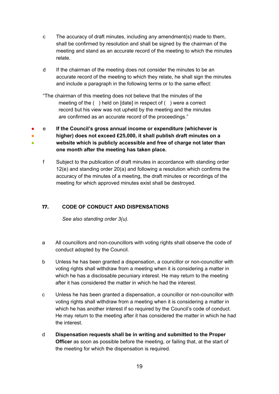- c The accuracy of draft minutes, including any amendment(s) made to them, shall be confirmed by resolution and shall be signed by the chairman of the meeting and stand as an accurate record of the meeting to which the minutes relate.
- d If the chairman of the meeting does not consider the minutes to be an accurate record of the meeting to which they relate, he shall sign the minutes and include a paragraph in the following terms or to the same effect:

"The chairman of this meeting does not believe that the minutes of the meeting of the () held on [date] in respect of () were a correct record but his view was not upheld by the meeting and the minutes are confirmed as an accurate record of the proceedings."

● ● ● e **If the Council's gross annual income or expenditure (whichever is higher) does not exceed £25,000, it shall publish draft minutes on a website which is publicly accessible and free of charge not later than**

**one month after the meeting has taken place.**

f Subject to the publication of draft minutes in accordance with standing order 12(e) and standing order 20(a) and following a resolution which confirms the accuracy of the minutes of a meeting, the draft minutes or recordings of the meeting for which approved minutes exist shall be destroyed.

# <span id="page-18-0"></span>**17. CODE OF CONDUCT AND DISPENSATIONS**

*See also standing order 3(u).*

- a All councillors and non-councillors with voting rights shall observe the code of conduct adopted by the Council.
- b Unless he has been granted a dispensation, a councillor or non-councillor with voting rights shall withdraw from a meeting when it is considering a matter in which he has a disclosable pecuniary interest. He may return to the meeting after it has considered the matter in which he had the interest.
- c Unless he has been granted a dispensation, a councillor or non-councillor with voting rights shall withdraw from a meeting when it is considering a matter in which he has another interest if so required by the Council's code of conduct. He may return to the meeting after it has considered the matter in which he had the interest.
- d **Dispensation requests shall be in writing and submitted to the Proper Officer** as soon as possible before the meeting, or failing that, at the start of the meeting for which the dispensation is required.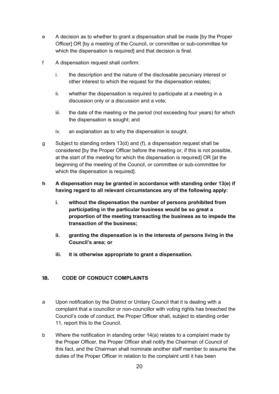- e A decision as to whether to grant a dispensation shall be made [by the Proper Officer] OR [by a meeting of the Council, or committee or sub-committee for which the dispensation is required] and that decision is final.
- f A dispensation request shall confirm:
	- i. the description and the nature of the disclosable pecuniary interest or other interest to which the request for the dispensation relates;
	- ii. whether the dispensation is required to participate at a meeting in a discussion only or a discussion and a vote;
	- iii. the date of the meeting or the period (not exceeding four years) for which the dispensation is sought; and
	- iv. an explanation as to why the dispensation is sought.
- g Subject to standing orders 13(d) and (f), a dispensation request shall be considered [by the Proper Officer before the meeting or, if this is not possible, at the start of the meeting for which the dispensation is required] OR [at the beginning of the meeting of the Council, or committee or sub-committee for which the dispensation is required].
- **h A dispensation may be granted in accordance with standing order 13(e) if having regard to all relevant circumstances any of the following apply:**
	- **i. without the dispensation the number of persons prohibited from participating in the particular business would be so great a proportion of the meeting transacting the business as to impede the transaction of the business;**
	- **ii. granting the dispensation is in the interests of persons living in the Council's area; or**
	- **iii. it is otherwise appropriate to grant a dispensation.**

## <span id="page-19-0"></span>**18. CODE OF CONDUCT COMPLAINTS**

- a Upon notification by the District or Unitary Council that it is dealing with a complaint that a councillor or non-councillor with voting rights has breached the Council's code of conduct, the Proper Officer shall, subject to standing order 11, report this to the Council.
- b Where the notification in standing order 14(a) relates to a complaint made by the Proper Officer, the Proper Officer shall notify the Chairman of Council of this fact, and the Chairman shall nominate another staff member to assume the duties of the Proper Officer in relation to the complaint until it has been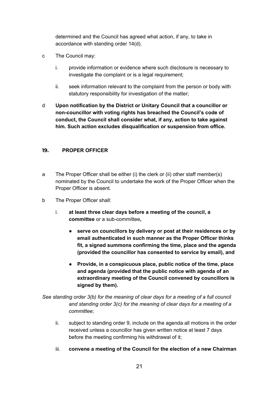determined and the Council has agreed what action, if any, to take in accordance with standing order 14(d).

- c The Council may:
	- i. provide information or evidence where such disclosure is necessary to investigate the complaint or is a legal requirement;
	- ii. seek information relevant to the complaint from the person or body with statutory responsibility for investigation of the matter;
- d **Upon notification by the District or Unitary Council that a councillor or non-councillor with voting rights has breached the Council's code of conduct, the Council shall consider what, if any, action to take against him. Such action excludes disqualification or suspension from office.**

## <span id="page-20-0"></span>**19. PROPER OFFICER**

- a The Proper Officer shall be either (i) the clerk or (ii) other staff member(s) nominated by the Council to undertake the work of the Proper Officer when the Proper Officer is absent.
- b The Proper Officer shall:
	- i. **at least three clear days before a meeting of the council, a committee** or a sub-committee**,**
		- **serve on councillors by delivery or post at their residences or by email authenticated in such manner as the Proper Officer thinks fit, a signed summons confirming the time, place and the agenda (provided the councillor has consented to service by email), and**
		- **● Provide, in a conspicuous place, public notice of the time, place and agenda (provided that the public notice with agenda of an extraordinary meeting of the Council convened by councillors is signed by them).**

*See standing order 3(b) for the meaning of clear days for a meeting of a full council and standing order 3(c) for the meaning of clear days for a meeting of a committee;*

- ii. subject to standing order 9, include on the agenda all motions in the order received unless a councillor has given written notice at least 7 days before the meeting confirming his withdrawal of it;
- iii. **convene a meeting of the Council for the election of a new Chairman**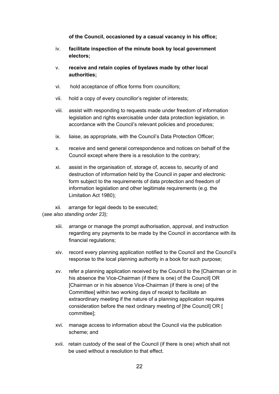**of the Council, occasioned by a casual vacancy in his office;**

- iv. **facilitate inspection of the minute book by local government electors;**
- v. **receive and retain copies of byelaws made by other local authorities;**
- vi. hold acceptance of office forms from councillors;
- vii. hold a copy of every councillor's register of interests;
- viii. assist with responding to requests made under freedom of information legislation and rights exercisable under data protection legislation, in accordance with the Council's relevant policies and procedures;
- ix. liaise, as appropriate, with the Council's Data Protection Officer;
- x. receive and send general correspondence and notices on behalf of the Council except where there is a resolution to the contrary;
- xi. assist in the organisation of, storage of, access to, security of and destruction of information held by the Council in paper and electronic form subject to the requirements of data protection and freedom of information legislation and other legitimate requirements (e.g. the Limitation Act 1980);
- xii. arrange for legal deeds to be executed;

(*see also standing order 23);*

- xiii. arrange or manage the prompt authorisation, approval, and instruction regarding any payments to be made by the Council in accordance with its financial regulations;
- xiv. record every planning application notified to the Council and the Council's response to the local planning authority in a book for such purpose;
- xv. refer a planning application received by the Council to the [Chairman or in his absence the Vice-Chairman (if there is one) of the Council] OR [Chairman or in his absence Vice-Chairman (if there is one) of the Committee] within two working days of receipt to facilitate an extraordinary meeting if the nature of a planning application requires consideration before the next ordinary meeting of [the Council] OR [ committee];
- xvi. manage access to information about the Council via the publication scheme; and
- xvii. retain custody of the seal of the Council (if there is one) which shall not be used without a resolution to that effect.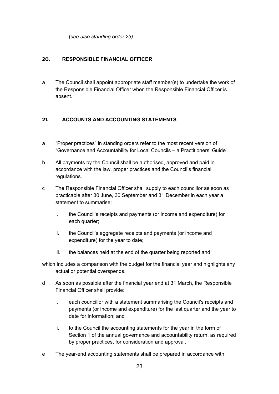(s*ee also standing order 23).*

# <span id="page-22-0"></span>**20. RESPONSIBLE FINANCIAL OFFICER**

a The Council shall appoint appropriate staff member(s) to undertake the work of the Responsible Financial Officer when the Responsible Financial Officer is absent.

# <span id="page-22-1"></span>**21. ACCOUNTS AND ACCOUNTING STATEMENTS**

- a "Proper practices" in standing orders refer to the most recent version of "Governance and Accountability for Local Councils – a Practitioners' Guide".
- b All payments by the Council shall be authorised, approved and paid in accordance with the law, proper practices and the Council's financial regulations.
- c The Responsible Financial Officer shall supply to each councillor as soon as practicable after 30 June, 30 September and 31 December in each year a statement to summarise:
	- i. the Council's receipts and payments (or income and expenditure) for each quarter;
	- ii. the Council's aggregate receipts and payments (or income and expenditure) for the year to date;
	- iii. the balances held at the end of the quarter being reported and
- which includes a comparison with the budget for the financial year and highlights any actual or potential overspends.
- d As soon as possible after the financial year end at 31 March, the Responsible Financial Officer shall provide:
	- i. each councillor with a statement summarising the Council's receipts and payments (or income and expenditure) for the last quarter and the year to date for information; and
	- ii. to the Council the accounting statements for the year in the form of Section 1 of the annual governance and accountability return, as required by proper practices, for consideration and approval.
- e The year-end accounting statements shall be prepared in accordance with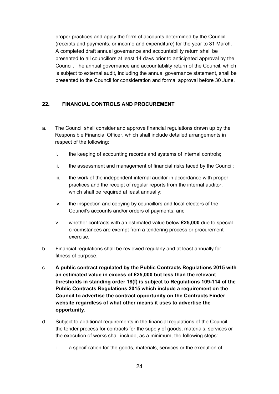proper practices and apply the form of accounts determined by the Council (receipts and payments, or income and expenditure) for the year to 31 March. A completed draft annual governance and accountability return shall be presented to all councillors at least 14 days prior to anticipated approval by the Council. The annual governance and accountability return of the Council, which is subject to external audit, including the annual governance statement, shall be presented to the Council for consideration and formal approval before 30 June.

# <span id="page-23-0"></span>**22. FINANCIAL CONTROLS AND PROCUREMENT**

- a. The Council shall consider and approve financial regulations drawn up by the Responsible Financial Officer, which shall include detailed arrangements in respect of the following:
	- i. the keeping of accounting records and systems of internal controls;
	- ii. the assessment and management of financial risks faced by the Council;
	- iii. the work of the independent internal auditor in accordance with proper practices and the receipt of regular reports from the internal auditor, which shall be required at least annually;
	- iv. the inspection and copying by councillors and local electors of the Council's accounts and/or orders of payments; and
	- v. whether contracts with an estimated value below **£25,000** due to special circumstances are exempt from a tendering process or procurement exercise.
- b. Financial regulations shall be reviewed regularly and at least annually for fitness of purpose.
- c. **A public contract regulated by the Public Contracts Regulations 2015 with an estimated value in excess of £25,000 but less than the relevant thresholds in standing order 18(f) is subject to Regulations 109-114 of the Public Contracts Regulations 2015 which include a requirement on the Council to advertise the contract opportunity on the Contracts Finder website regardless of what other means it uses to advertise the opportunity.**
- d. Subject to additional requirements in the financial regulations of the Council, the tender process for contracts for the supply of goods, materials, services or the execution of works shall include, as a minimum, the following steps:
	- i. a specification for the goods, materials, services or the execution of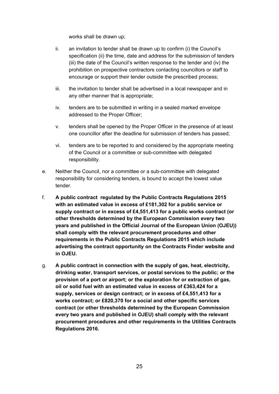works shall be drawn up;

- ii. an invitation to tender shall be drawn up to confirm (i) the Council's specification (ii) the time, date and address for the submission of tenders (iii) the date of the Council's written response to the tender and (iv) the prohibition on prospective contractors contacting councillors or staff to encourage or support their tender outside the prescribed process;
- iii. the invitation to tender shall be advertised in a local newspaper and in any other manner that is appropriate;
- iv. tenders are to be submitted in writing in a sealed marked envelope addressed to the Proper Officer;
- v. tenders shall be opened by the Proper Officer in the presence of at least one councillor after the deadline for submission of tenders has passed;
- vi. tenders are to be reported to and considered by the appropriate meeting of the Council or a committee or sub-committee with delegated responsibility.
- e. Neither the Council, nor a committee or a sub-committee with delegated responsibility for considering tenders, is bound to accept the lowest value tender.
- f. **A public contract regulated by the Public Contracts Regulations 2015 with an estimated value in excess of £181,302 for a public service or supply contract or in excess of £4,551,413 for a public works contract (or other thresholds determined by the European Commission every two years and published in the Official Journal of the European Union (OJEU)) shall comply with the relevant procurement procedures and other requirements in the Public Contracts Regulations 2015 which include advertising the contract opportunity on the Contracts Finder website and in OJEU.**
- g. **A public contract in connection with the supply of gas, heat, electricity, drinking water, transport services, or postal services to the public; or the provision of a port or airport; or the exploration for or extraction of gas, oil or solid fuel with an estimated value in excess of £363,424 for a supply, services or design contract; or in excess of £4,551,413 for a works contract; or £820,370 for a social and other specific services contract (or other thresholds determined by the European Commission every two years and published in OJEU) shall comply with the relevant procurement procedures and other requirements in the Utilities Contracts Regulations 2016.**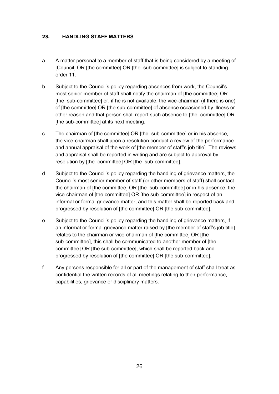## <span id="page-25-0"></span>**23. HANDLING STAFF MATTERS**

- a A matter personal to a member of staff that is being considered by a meeting of [Council] OR [the committee] OR [the sub-committee] is subject to standing order 11.
- b Subject to the Council's policy regarding absences from work, the Council's most senior member of staff shall notify the chairman of [the committee] OR [the sub-committee] or, if he is not available, the vice-chairman (if there is one) of [the committee] OR [the sub-committee] of absence occasioned by illness or other reason and that person shall report such absence to [the committee] OR [the sub-committee] at its next meeting.
- c The chairman of [the committee] OR [the sub-committee] or in his absence, the vice-chairman shall upon a resolution conduct a review of the performance and annual appraisal of the work of [the member of staff's job title]. The reviews and appraisal shall be reported in writing and are subject to approval by resolution by [the committee] OR [the sub-committee].
- d Subject to the Council's policy regarding the handling of grievance matters, the Council's most senior member of staff (or other members of staff) shall contact the chairman of [the committee] OR [the sub-committee] or in his absence, the vice-chairman of [the committee] OR [the sub-committee] in respect of an informal or formal grievance matter, and this matter shall be reported back and progressed by resolution of [the committee] OR [the sub-committee].
- e Subject to the Council's policy regarding the handling of grievance matters, if an informal or formal grievance matter raised by [the member of staff's job title] relates to the chairman or vice-chairman of [the committee] OR [the sub-committee], this shall be communicated to another member of [the committee] OR [the sub-committee], which shall be reported back and progressed by resolution of [the committee] OR [the sub-committee].
- f Any persons responsible for all or part of the management of staff shall treat as confidential the written records of all meetings relating to their performance, capabilities, grievance or disciplinary matters.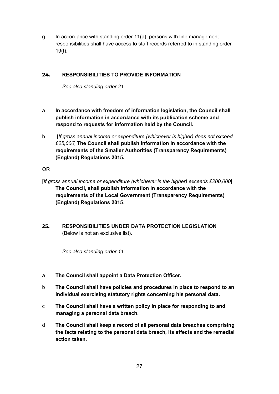g In accordance with standing order 11(a), persons with line management responsibilities shall have access to staff records referred to in standing order 19(f).

## <span id="page-26-0"></span>**24. RESPONSIBILITIES TO PROVIDE INFORMATION**

*See also standing order 21.*

- a **In accordance with freedom of information legislation, the Council shall publish information in accordance with its publication scheme and respond to requests for information held by the Council.**
- b. [*If gross annual income or expenditure (whichever is higher) does not exceed £25,000*] **The Council shall publish information in accordance with the requirements of the Smaller Authorities (Transparency Requirements) (England) Regulations 2015.**

OR

- [*If gross annual income or expenditure (whichever is the higher) exceeds £200,000*] **The Council, shall publish information in accordance with the requirements of the Local Government (Transparency Requirements) (England) Regulations 2015**.
- <span id="page-26-1"></span>**25. RESPONSIBILITIES UNDER DATA PROTECTION LEGISLATION** (Below is not an exclusive list).

*See also standing order 11.*

- a **The Council shall appoint a Data Protection Officer.**
- b **The Council shall have policies and procedures in place to respond to an individual exercising statutory rights concerning his personal data.**
- c **The Council shall have a written policy in place for responding to and managing a personal data breach.**
- d **The Council shall keep a record of all personal data breaches comprising the facts relating to the personal data breach, its effects and the remedial action taken.**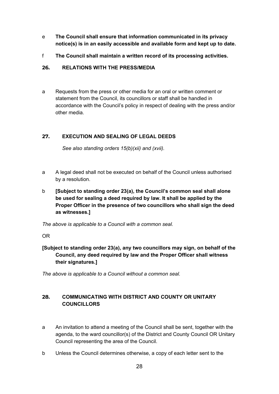- e **The Council shall ensure that information communicated in its privacy notice(s) is in an easily accessible and available form and kept up to date.**
- f **The Council shall maintain a written record of its processing activities.**

## <span id="page-27-0"></span>**26. RELATIONS WITH THE PRESS/MEDIA**

a Requests from the press or other media for an oral or written comment or statement from the Council, its councillors or staff shall be handled in accordance with the Council's policy in respect of dealing with the press and/or other media.

# <span id="page-27-1"></span>**27. EXECUTION AND SEALING OF LEGAL DEEDS**

*See also standing orders 15(b)(xii) and (xvii).*

- a A legal deed shall not be executed on behalf of the Council unless authorised by a resolution.
- b **[Subject to standing order 23(a), the Council's common seal shall alone be used for sealing a deed required by law. It shall be applied by the Proper Officer in the presence of two councillors who shall sign the deed as witnesses.]**

*The above is applicable to a Council with a common seal.*

OR

**[Subject to standing order 23(a), any two councillors may sign, on behalf of the Council, any deed required by law and the Proper Officer shall witness their signatures.]**

*The above is applicable to a Council without a common seal.*

# <span id="page-27-2"></span>**28. COMMUNICATING WITH DISTRICT AND COUNTY OR UNITARY COUNCILLORS**

- a An invitation to attend a meeting of the Council shall be sent, together with the agenda, to the ward councillor(s) of the District and County Council OR Unitary Council representing the area of the Council.
- b Unless the Council determines otherwise, a copy of each letter sent to the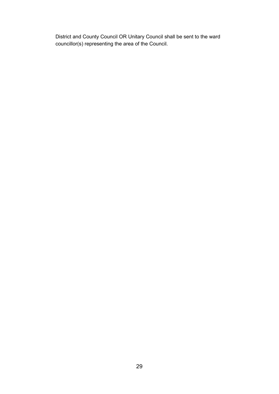District and County Council OR Unitary Council shall be sent to the ward councillor(s) representing the area of the Council.